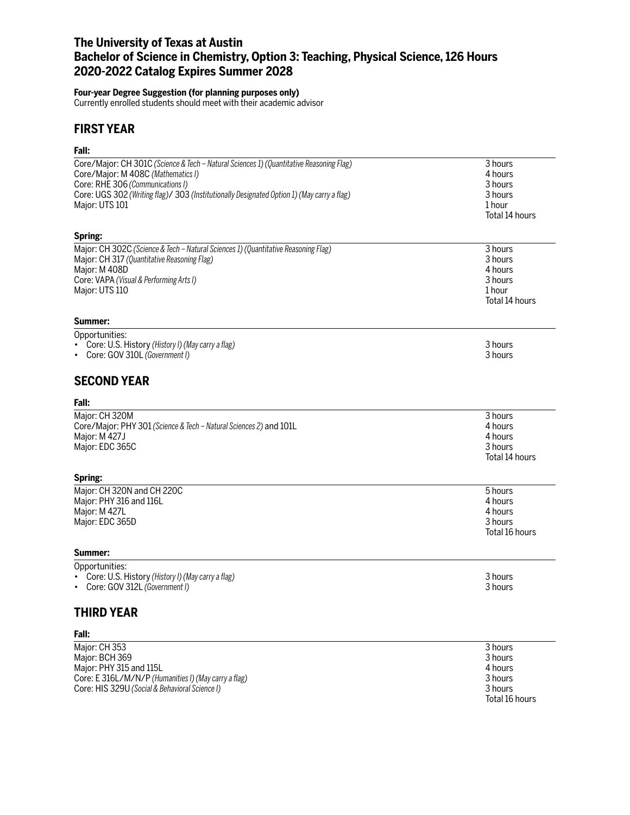# **The University of Texas at Austin Bachelor of Science in Chemistry, Option 3: Teaching, Physical Science, 126 Hours 2020-2022 Catalog Expires Summer 2028**

#### **Four-year Degree Suggestion (for planning purposes only)**

Currently enrolled students should meet with their academic advisor

## **FIRST YEAR**

### **Fall:**

| Core/Major: CH 301C (Science & Tech - Natural Sciences 1) (Quantitative Reasoning Flag)<br>Core/Major: M 408C (Mathematics I)<br>Core: RHE 306 (Communications I)<br>Core: UGS 302 (Writing flag)/ 303 (Institutionally Designated Option 1) (May carry a flag)<br>Major: UTS 101 | 3 hours<br>4 hours<br>3 hours<br>3 hours<br>1 hour<br>Total 14 hours |
|-----------------------------------------------------------------------------------------------------------------------------------------------------------------------------------------------------------------------------------------------------------------------------------|----------------------------------------------------------------------|
| Spring:                                                                                                                                                                                                                                                                           |                                                                      |
| Major: CH 302C (Science & Tech - Natural Sciences 1) (Quantitative Reasoning Flag)<br>Major: CH 317 (Quantitative Reasoning Flag)<br>Major: M 408D<br>Core: VAPA (Visual & Performing Arts I)<br>Major: UTS 110                                                                   | 3 hours<br>3 hours<br>4 hours<br>3 hours<br>1 hour<br>Total 14 hours |
| Summer:                                                                                                                                                                                                                                                                           |                                                                      |
| Opportunities:<br>• Core: U.S. History (History I) (May carry a flag)<br>• Core: GOV 310L (Government I)                                                                                                                                                                          | 3 hours<br>3 hours                                                   |
| <b>SECOND YEAR</b>                                                                                                                                                                                                                                                                |                                                                      |
| Fall:                                                                                                                                                                                                                                                                             |                                                                      |
| Major: CH 320M<br>Core/Major: PHY 301 (Science & Tech - Natural Sciences 2) and 101L<br>Major: M 427J<br>Major: EDC 365C<br>Spring:                                                                                                                                               | 3 hours<br>4 hours<br>4 hours<br>3 hours<br>Total 14 hours           |
| Major: CH 320N and CH 220C                                                                                                                                                                                                                                                        | 5 hours                                                              |
| Major: PHY 316 and 116L<br>Major: M 427L<br>Major: EDC 365D                                                                                                                                                                                                                       | 4 hours<br>4 hours<br>3 hours<br>Total 16 hours                      |
| Summer:                                                                                                                                                                                                                                                                           |                                                                      |
| Opportunities:<br>• Core: U.S. History (History I) (May carry a flag)<br>• Core: GOV 312L (Government I)                                                                                                                                                                          | 3 hours<br>3 hours                                                   |
| THIRD YEAR                                                                                                                                                                                                                                                                        |                                                                      |
| Fall:                                                                                                                                                                                                                                                                             |                                                                      |
| Major: CH 353<br>Major: BCH 369                                                                                                                                                                                                                                                   | 3 hours<br>3 hours                                                   |

Total 16 hours

Major: PHY 315 and 115L 4 hours Core: E 316L/M/N/P *(Humanities I) (May carry a flag)* 3 hours Core: HIS 329U *(Social & Behavioral Science I)* 3 hours